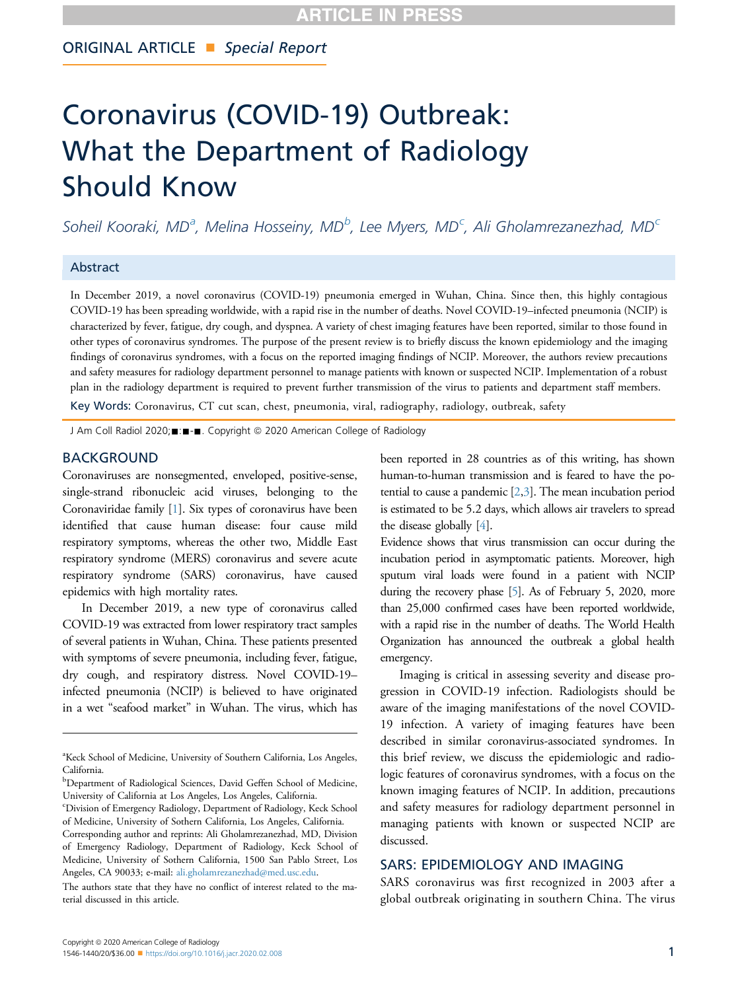# ORIGINAL ARTICLE Special Report

# Coronavirus (COVID-19) Outbreak: What the Department of Radiology Should Know

Soheil Koor[a](#page-0-0)ki, MD<sup>a</sup>, Melina Hosseiny, MD<sup>[b](#page-0-1)</sup>, Lee Myers, MD<sup>[c](#page-0-2)</sup>, Ali Gholamrezanezhad, MD<sup>c</sup>

### Abstract

In December 2019, a novel coronavirus (COVID-19) pneumonia emerged in Wuhan, China. Since then, this highly contagious COVID-19 has been spreading worldwide, with a rapid rise in the number of deaths. Novel COVID-19–infected pneumonia (NCIP) is characterized by fever, fatigue, dry cough, and dyspnea. A variety of chest imaging features have been reported, similar to those found in other types of coronavirus syndromes. The purpose of the present review is to briefly discuss the known epidemiology and the imaging findings of coronavirus syndromes, with a focus on the reported imaging findings of NCIP. Moreover, the authors review precautions and safety measures for radiology department personnel to manage patients with known or suspected NCIP. Implementation of a robust plan in the radiology department is required to prevent further transmission of the virus to patients and department staff members.

Key Words: Coronavirus, CT cut scan, chest, pneumonia, viral, radiography, radiology, outbreak, safety

J Am Coll Radiol 2020; : - - Copyright © 2020 American College of Radiology

### BACKGROUND

Coronaviruses are nonsegmented, enveloped, positive-sense, single-strand ribonucleic acid viruses, belonging to the Coronaviridae family [\[1](#page-3-0)]. Six types of coronavirus have been identified that cause human disease: four cause mild respiratory symptoms, whereas the other two, Middle East respiratory syndrome (MERS) coronavirus and severe acute respiratory syndrome (SARS) coronavirus, have caused epidemics with high mortality rates.

In December 2019, a new type of coronavirus called COVID-19 was extracted from lower respiratory tract samples of several patients in Wuhan, China. These patients presented with symptoms of severe pneumonia, including fever, fatigue, dry cough, and respiratory distress. Novel COVID-19– infected pneumonia (NCIP) is believed to have originated in a wet "seafood market" in Wuhan. The virus, which has

been reported in 28 countries as of this writing, has shown human-to-human transmission and is feared to have the potential to cause a pandemic [[2](#page-3-1),[3\]](#page-3-2). The mean incubation period is estimated to be 5.2 days, which allows air travelers to spread the disease globally [[4](#page-3-3)].

Evidence shows that virus transmission can occur during the incubation period in asymptomatic patients. Moreover, high sputum viral loads were found in a patient with NCIP during the recovery phase [[5](#page-3-4)]. As of February 5, 2020, more than 25,000 confirmed cases have been reported worldwide, with a rapid rise in the number of deaths. The World Health Organization has announced the outbreak a global health emergency.

Imaging is critical in assessing severity and disease progression in COVID-19 infection. Radiologists should be aware of the imaging manifestations of the novel COVID-19 infection. A variety of imaging features have been described in similar coronavirus-associated syndromes. In this brief review, we discuss the epidemiologic and radiologic features of coronavirus syndromes, with a focus on the known imaging features of NCIP. In addition, precautions and safety measures for radiology department personnel in managing patients with known or suspected NCIP are discussed.

## SARS: EPIDEMIOLOGY AND IMAGING

SARS coronavirus was first recognized in 2003 after a global outbreak originating in southern China. The virus

<span id="page-0-0"></span><sup>&</sup>lt;sup>a</sup>Keck School of Medicine, University of Southern California, Los Angeles, California.

<span id="page-0-1"></span>**bDepartment of Radiological Sciences, David Geffen School of Medicine,** University of California at Los Angeles, Los Angeles, California.

<span id="page-0-2"></span>c Division of Emergency Radiology, Department of Radiology, Keck School of Medicine, University of Sothern California, Los Angeles, California.

Corresponding author and reprints: Ali Gholamrezanezhad, MD, Division of Emergency Radiology, Department of Radiology, Keck School of Medicine, University of Sothern California, 1500 San Pablo Street, Los Angeles, CA 90033; e-mail: [ali.gholamrezanezhad@med.usc.edu.](mailto:ali.gholamrezanezhad@med.usc.edu)

The authors state that they have no conflict of interest related to the material discussed in this article.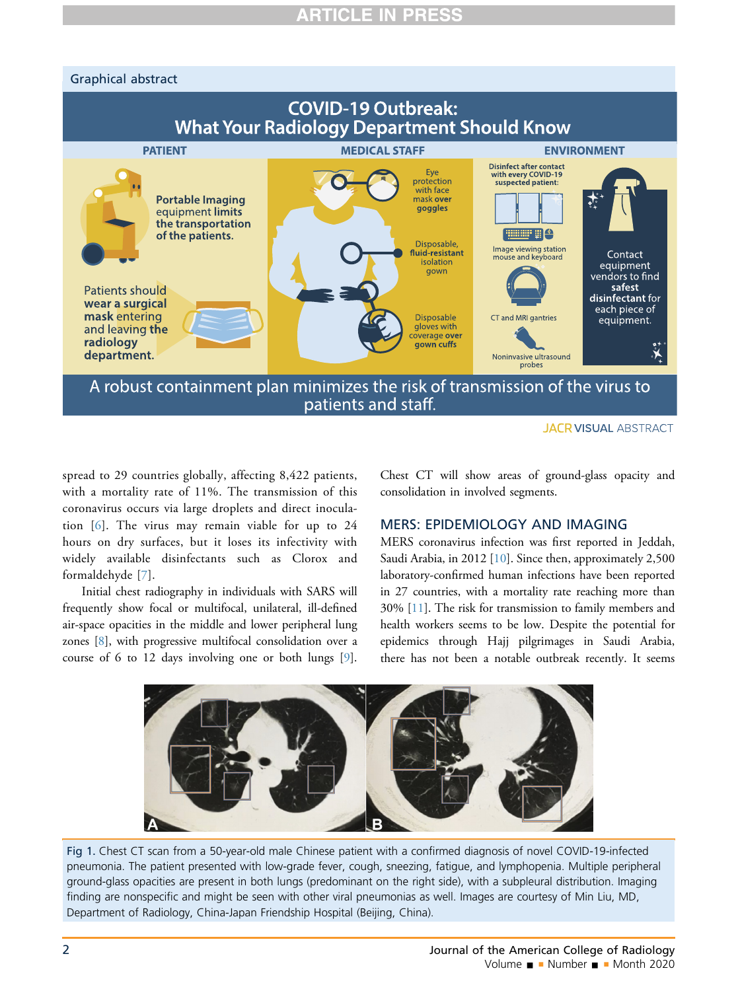# Graphical abstract



patients and staff.

spread to 29 countries globally, affecting 8,422 patients, with a mortality rate of 11%. The transmission of this coronavirus occurs via large droplets and direct inoculation [[6](#page-4-0)]. The virus may remain viable for up to 24 hours on dry surfaces, but it loses its infectivity with widely available disinfectants such as Clorox and formaldehyde [[7](#page-4-1)].

Initial chest radiography in individuals with SARS will frequently show focal or multifocal, unilateral, ill-defined air-space opacities in the middle and lower peripheral lung zones [[8\]](#page-4-2), with progressive multifocal consolidation over a course of 6 to 12 days involving one or both lungs [\[9](#page-4-3)].

Chest CT will show areas of ground-glass opacity and consolidation in involved segments.

# MERS: EPIDEMIOLOGY AND IMAGING

MERS coronavirus infection was first reported in Jeddah, Saudi Arabia, in 2012 [[10](#page-4-4)]. Since then, approximately 2,500 laboratory-confirmed human infections have been reported in 27 countries, with a mortality rate reaching more than 30% [\[11](#page-4-5)]. The risk for transmission to family members and health workers seems to be low. Despite the potential for epidemics through Hajj pilgrimages in Saudi Arabia, there has not been a notable outbreak recently. It seems

<span id="page-1-0"></span>

Fig 1. Chest CT scan from a 50-year-old male Chinese patient with a confirmed diagnosis of novel COVID-19-infected pneumonia. The patient presented with low-grade fever, cough, sneezing, fatigue, and lymphopenia. Multiple peripheral ground-glass opacities are present in both lungs (predominant on the right side), with a subpleural distribution. Imaging finding are nonspecific and might be seen with other viral pneumonias as well. Images are courtesy of Min Liu, MD, Department of Radiology, China-Japan Friendship Hospital (Beijing, China).

**JACR VISUAL ABSTRACT**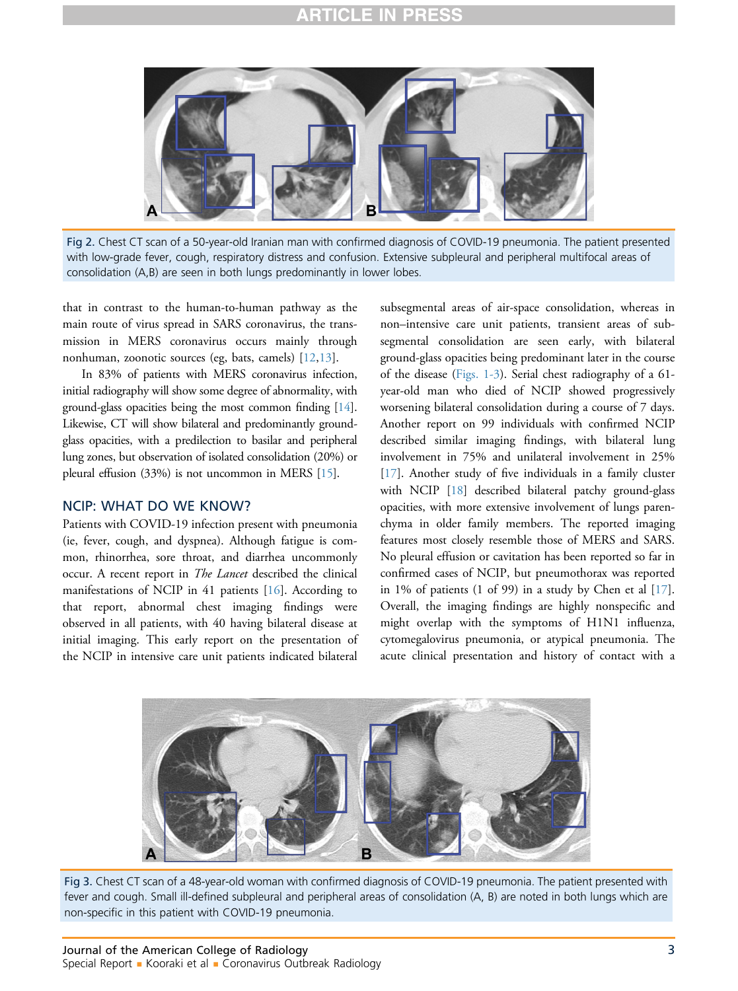# RTICLE IN I



Fig 2. Chest CT scan of a 50-year-old Iranian man with confirmed diagnosis of COVID-19 pneumonia. The patient presented with low-grade fever, cough, respiratory distress and confusion. Extensive subpleural and peripheral multifocal areas of consolidation (A,B) are seen in both lungs predominantly in lower lobes.

that in contrast to the human-to-human pathway as the main route of virus spread in SARS coronavirus, the transmission in MERS coronavirus occurs mainly through nonhuman, zoonotic sources (eg, bats, camels) [[12,](#page-4-6)[13](#page-4-7)].

In 83% of patients with MERS coronavirus infection, initial radiography will show some degree of abnormality, with ground-glass opacities being the most common finding [\[14\]](#page-4-8). Likewise, CT will show bilateral and predominantly groundglass opacities, with a predilection to basilar and peripheral lung zones, but observation of isolated consolidation (20%) or pleural effusion (33%) is not uncommon in MERS [\[15](#page-4-9)].

## NCIP: WHAT DO WE KNOW?

Patients with COVID-19 infection present with pneumonia (ie, fever, cough, and dyspnea). Although fatigue is common, rhinorrhea, sore throat, and diarrhea uncommonly occur. A recent report in *The Lancet* described the clinical manifestations of NCIP in 41 patients [[16\]](#page-4-10). According to that report, abnormal chest imaging findings were observed in all patients, with 40 having bilateral disease at initial imaging. This early report on the presentation of the NCIP in intensive care unit patients indicated bilateral

subsegmental areas of air-space consolidation, whereas in non–intensive care unit patients, transient areas of subsegmental consolidation are seen early, with bilateral ground-glass opacities being predominant later in the course of the disease ([Figs. 1-3](#page-1-0)). Serial chest radiography of a 61 year-old man who died of NCIP showed progressively worsening bilateral consolidation during a course of 7 days. Another report on 99 individuals with confirmed NCIP described similar imaging findings, with bilateral lung involvement in 75% and unilateral involvement in 25% [\[17](#page-4-11)]. Another study of five individuals in a family cluster with NCIP [[18\]](#page-4-12) described bilateral patchy ground-glass opacities, with more extensive involvement of lungs parenchyma in older family members. The reported imaging features most closely resemble those of MERS and SARS. No pleural effusion or cavitation has been reported so far in confirmed cases of NCIP, but pneumothorax was reported in 1% of patients (1 of 99) in a study by Chen et al [\[17](#page-4-11)]. Overall, the imaging findings are highly nonspecific and might overlap with the symptoms of H1N1 influenza, cytomegalovirus pneumonia, or atypical pneumonia. The acute clinical presentation and history of contact with a



Fig 3. Chest CT scan of a 48-year-old woman with confirmed diagnosis of COVID-19 pneumonia. The patient presented with fever and cough. Small ill-defined subpleural and peripheral areas of consolidation (A, B) are noted in both lungs which are non-specific in this patient with COVID-19 pneumonia.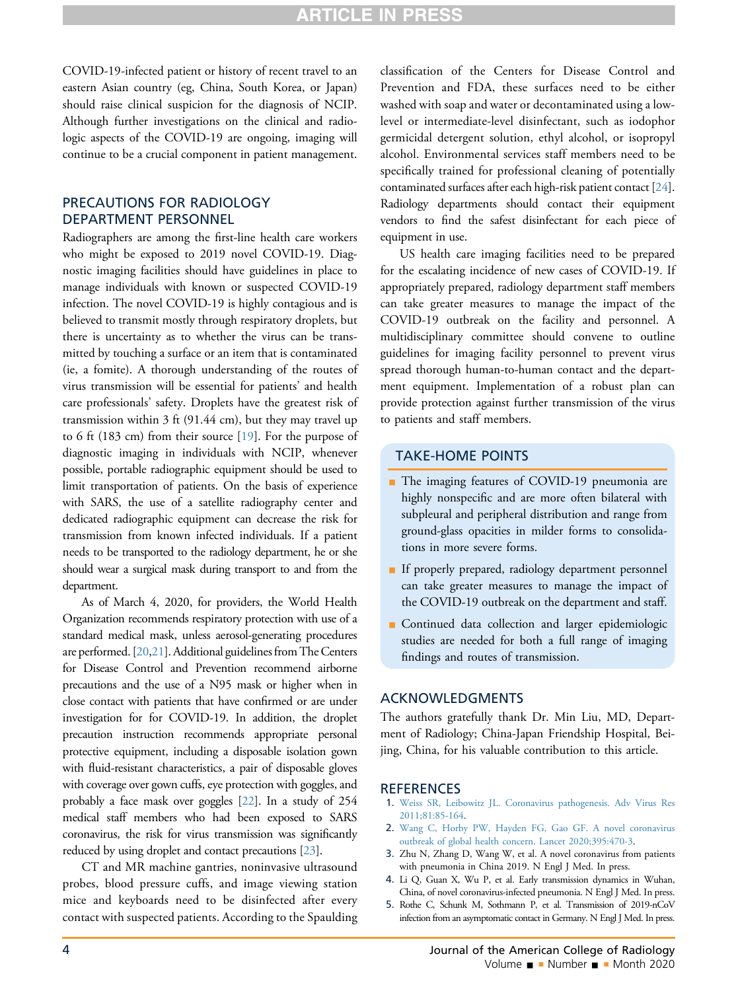COVID-19-infected patient or history of recent travel to an eastern Asian country (eg, China, South Korea, or Japan) should raise clinical suspicion for the diagnosis of NCIP. Although further investigations on the clinical and radiologic aspects of the COVID-19 are ongoing, imaging will continue to be a crucial component in patient management.

# PRECAUTIONS FOR RADIOLOGY DEPARTMENT PERSONNEL

Radiographers are among the first-line health care workers who might be exposed to 2019 novel COVID-19. Diagnostic imaging facilities should have guidelines in place to manage individuals with known or suspected COVID-19 infection. The novel COVID-19 is highly contagious and is believed to transmit mostly through respiratory droplets, but there is uncertainty as to whether the virus can be transmitted by touching a surface or an item that is contaminated (ie, a fomite). A thorough understanding of the routes of virus transmission will be essential for patients' and health care professionals' safety. Droplets have the greatest risk of transmission within 3 ft (91.44 cm), but they may travel up to 6 ft (183 cm) from their source [\[19](#page-4-13)]. For the purpose of diagnostic imaging in individuals with NCIP, whenever possible, portable radiographic equipment should be used to limit transportation of patients. On the basis of experience with SARS, the use of a satellite radiography center and dedicated radiographic equipment can decrease the risk for transmission from known infected individuals. If a patient needs to be transported to the radiology department, he or she should wear a surgical mask during transport to and from the department.

As of March 4, 2020, for providers, the World Health Organization recommends respiratory protection with use of a standard medical mask, unless aerosol-generating procedures are performed. [[20](#page-4-14),[21](#page-4-15)]. Additional guidelines from The Centers for Disease Control and Prevention recommend airborne precautions and the use of a N95 mask or higher when in close contact with patients that have confirmed or are under investigation for for COVID-19. In addition, the droplet precaution instruction recommends appropriate personal protective equipment, including a disposable isolation gown with fluid-resistant characteristics, a pair of disposable gloves with coverage over gown cuffs, eye protection with goggles, and probably a face mask over goggles [[22\]](#page-4-16). In a study of 254 medical staff members who had been exposed to SARS coronavirus, the risk for virus transmission was significantly reduced by using droplet and contact precautions [[23\]](#page-4-17).

CT and MR machine gantries, noninvasive ultrasound probes, blood pressure cuffs, and image viewing station mice and keyboards need to be disinfected after every contact with suspected patients. According to the Spaulding classification of the Centers for Disease Control and Prevention and FDA, these surfaces need to be either washed with soap and water or decontaminated using a lowlevel or intermediate-level disinfectant, such as iodophor germicidal detergent solution, ethyl alcohol, or isopropyl alcohol. Environmental services staff members need to be specifically trained for professional cleaning of potentially contaminated surfaces after each high-risk patient contact [[24\]](#page-4-18). Radiology departments should contact their equipment vendors to find the safest disinfectant for each piece of equipment in use.

US health care imaging facilities need to be prepared for the escalating incidence of new cases of COVID-19. If appropriately prepared, radiology department staff members can take greater measures to manage the impact of the COVID-19 outbreak on the facility and personnel. A multidisciplinary committee should convene to outline guidelines for imaging facility personnel to prevent virus spread thorough human-to-human contact and the department equipment. Implementation of a robust plan can provide protection against further transmission of the virus to patients and staff members.

## TAKE-HOME POINTS

- The imaging features of COVID-19 pneumonia are highly nonspecific and are more often bilateral with subpleural and peripheral distribution and range from ground-glass opacities in milder forms to consolidations in more severe forms.
- If properly prepared, radiology department personnel can take greater measures to manage the impact of the COVID-19 outbreak on the department and staff.
- **Continued data collection and larger epidemiologic** studies are needed for both a full range of imaging findings and routes of transmission.

# ACKNOWLEDGMENTS

The authors gratefully thank Dr. Min Liu, MD, Department of Radiology; China-Japan Friendship Hospital, Beijing, China, for his valuable contribution to this article.

# **REFERENCES**

- <span id="page-3-0"></span>1. [Weiss SR, Leibowitz JL. Coronavirus pathogenesis. Adv Virus Res](http://refhub.elsevier.com/S1546-1440(20)30150-2/sref1) [2011;81:85-164](http://refhub.elsevier.com/S1546-1440(20)30150-2/sref1).
- <span id="page-3-1"></span>2. [Wang C, Horby PW, Hayden FG, Gao GF. A novel coronavirus](http://refhub.elsevier.com/S1546-1440(20)30150-2/sref2) [outbreak of global health concern. Lancet 2020;395:470-3](http://refhub.elsevier.com/S1546-1440(20)30150-2/sref2).
- <span id="page-3-2"></span>3. Zhu N, Zhang D, Wang W, et al. A novel coronavirus from patients with pneumonia in China 2019. N Engl J Med. In press.
- <span id="page-3-3"></span>4. Li Q, Guan X, Wu P, et al. Early transmission dynamics in Wuhan, China, of novel coronavirus-infected pneumonia. N Engl J Med. In press.
- <span id="page-3-4"></span>5. Rothe C, Schunk M, Sothmann P, et al. Transmission of 2019-nCoV infection from an asymptomatic contact in Germany. N Engl J Med. In press.